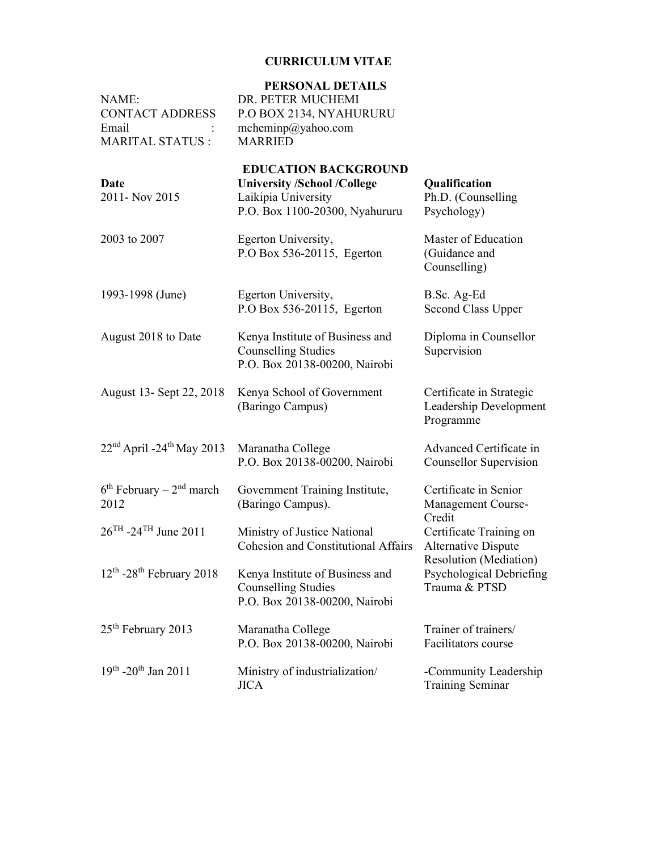# CURRICULUM VITAE

| NAME:<br><b>CONTACT ADDRESS</b><br>Email<br><b>MARITAL STATUS:</b> | PERSONAL DETAILS<br>DR. PETER MUCHEMI<br>P.O BOX 2134, NYAHURURU<br>mchemin $p$ @yahoo.com<br><b>MARRIED</b>               |                                                                            |
|--------------------------------------------------------------------|----------------------------------------------------------------------------------------------------------------------------|----------------------------------------------------------------------------|
| Date<br>2011- Nov 2015                                             | <b>EDUCATION BACKGROUND</b><br><b>University /School /College</b><br>Laikipia University<br>P.O. Box 1100-20300, Nyahururu | Qualification<br>Ph.D. (Counselling<br>Psychology)                         |
| 2003 to 2007                                                       | Egerton University,<br>P.O Box 536-20115, Egerton                                                                          | Master of Education<br>(Guidance and<br>Counselling)                       |
| 1993-1998 (June)                                                   | Egerton University,<br>P.O Box 536-20115, Egerton                                                                          | B.Sc. Ag-Ed<br>Second Class Upper                                          |
| August 2018 to Date                                                | Kenya Institute of Business and<br><b>Counselling Studies</b><br>P.O. Box 20138-00200, Nairobi                             | Diploma in Counsellor<br>Supervision                                       |
| August 13- Sept 22, 2018                                           | Kenya School of Government<br>(Baringo Campus)                                                                             | Certificate in Strategic<br>Leadership Development<br>Programme            |
| $22nd$ April -24 <sup>th</sup> May 2013                            | Maranatha College<br>P.O. Box 20138-00200, Nairobi                                                                         | Advanced Certificate in<br>Counsellor Supervision                          |
| $6th$ February – $2nd$ march<br>2012                               | Government Training Institute,<br>(Baringo Campus).                                                                        | Certificate in Senior<br>Management Course-<br>Credit                      |
| $26^{TH}$ -24 <sup>TH</sup> June 2011                              | Ministry of Justice National<br><b>Cohesion and Constitutional Affairs</b>                                                 | Certificate Training on<br><b>Alternative Dispute</b>                      |
| $12^{\text{th}}$ -28 <sup>th</sup> February 2018                   | Kenya Institute of Business and<br><b>Counselling Studies</b><br>P.O. Box 20138-00200, Nairobi                             | <b>Resolution</b> (Mediation)<br>Psychological Debriefing<br>Trauma & PTSD |
| 25 <sup>th</sup> February 2013                                     | Maranatha College<br>P.O. Box 20138-00200, Nairobi                                                                         | Trainer of trainers/<br>Facilitators course                                |
| $19^{th}$ -20 <sup>th</sup> Jan 2011                               | Ministry of industrialization/<br><b>JICA</b>                                                                              | -Community Leadership<br><b>Training Seminar</b>                           |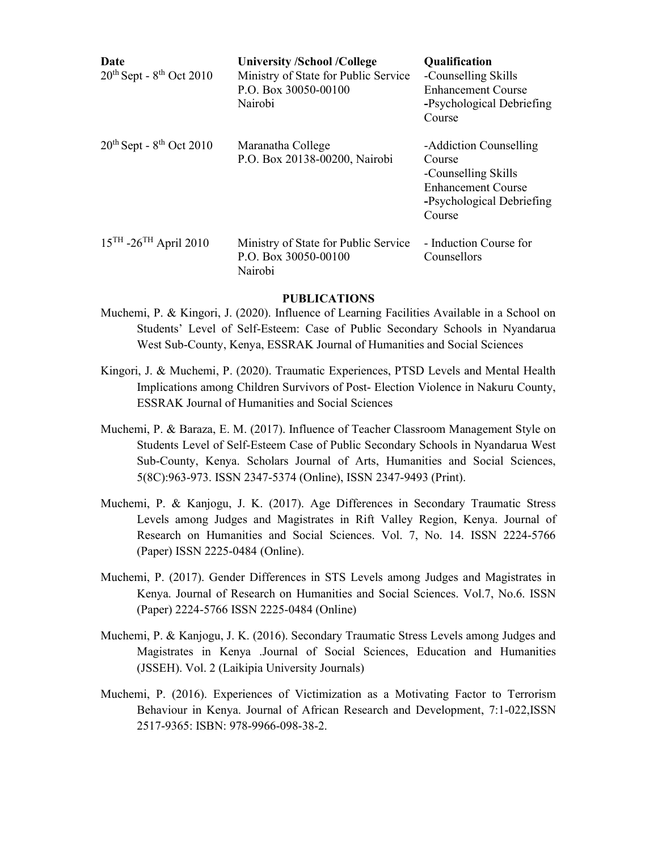| Date<br>$20th$ Sept - $8th$ Oct 2010   | <b>University /School /College</b><br>Ministry of State for Public Service<br>P.O. Box 30050-00100<br>Nairobi | <b>Qualification</b><br>-Counselling Skills<br><b>Enhancement Course</b><br>-Psychological Debriefing<br>Course             |
|----------------------------------------|---------------------------------------------------------------------------------------------------------------|-----------------------------------------------------------------------------------------------------------------------------|
| $20th$ Sept - $8th$ Oct 2010           | Maranatha College<br>P.O. Box 20138-00200, Nairobi                                                            | -Addiction Counselling<br>Course<br>-Counselling Skills<br><b>Enhancement Course</b><br>-Psychological Debriefing<br>Course |
| $15^{TH}$ -26 <sup>TH</sup> April 2010 | Ministry of State for Public Service<br>P.O. Box 30050-00100<br>Nairobi                                       | - Induction Course for<br>Counsellors                                                                                       |

#### PUBLICATIONS

- Muchemi, P. & Kingori, J. (2020). Influence of Learning Facilities Available in a School on Students' Level of Self-Esteem: Case of Public Secondary Schools in Nyandarua West Sub-County, Kenya, ESSRAK Journal of Humanities and Social Sciences
- Kingori, J. & Muchemi, P. (2020). Traumatic Experiences, PTSD Levels and Mental Health Implications among Children Survivors of Post- Election Violence in Nakuru County, ESSRAK Journal of Humanities and Social Sciences
- Muchemi, P. & Baraza, E. M. (2017). Influence of Teacher Classroom Management Style on Students Level of Self-Esteem Case of Public Secondary Schools in Nyandarua West Sub-County, Kenya. Scholars Journal of Arts, Humanities and Social Sciences, 5(8C):963-973. ISSN 2347-5374 (Online), ISSN 2347-9493 (Print).
- Muchemi, P. & Kanjogu, J. K. (2017). Age Differences in Secondary Traumatic Stress Levels among Judges and Magistrates in Rift Valley Region, Kenya. Journal of Research on Humanities and Social Sciences. Vol. 7, No. 14. ISSN 2224-5766 (Paper) ISSN 2225-0484 (Online).
- Muchemi, P. (2017). Gender Differences in STS Levels among Judges and Magistrates in Kenya. Journal of Research on Humanities and Social Sciences. Vol.7, No.6. ISSN (Paper) 2224-5766 ISSN 2225-0484 (Online)
- Muchemi, P. & Kanjogu, J. K. (2016). Secondary Traumatic Stress Levels among Judges and Magistrates in Kenya .Journal of Social Sciences, Education and Humanities (JSSEH). Vol. 2 (Laikipia University Journals)
- Muchemi, P. (2016). Experiences of Victimization as a Motivating Factor to Terrorism Behaviour in Kenya. Journal of African Research and Development, 7:1-022,ISSN 2517-9365: ISBN: 978-9966-098-38-2.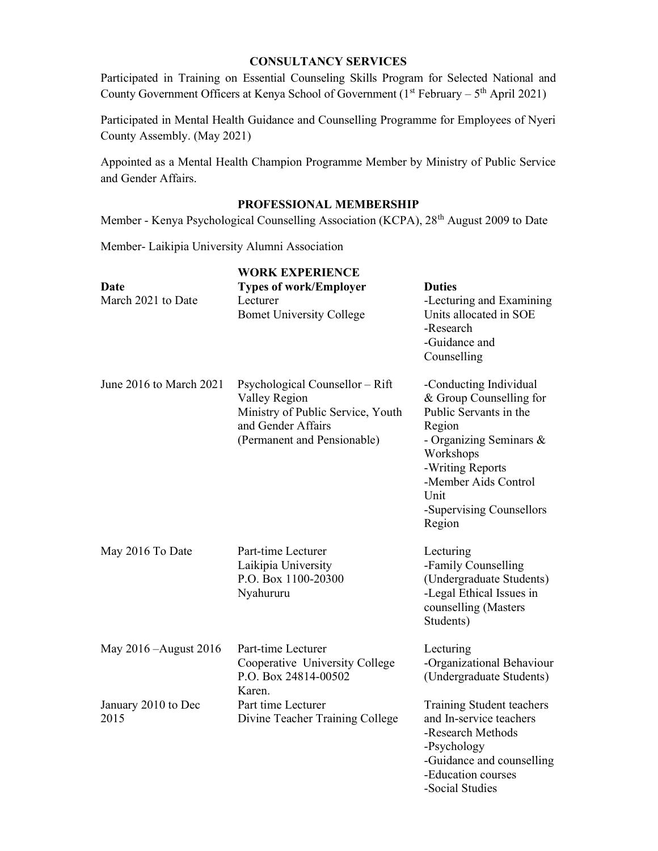# CONSULTANCY SERVICES

Participated in Training on Essential Counseling Skills Program for Selected National and County Government Officers at Kenya School of Government ( $1<sup>st</sup>$  February –  $5<sup>th</sup>$  April 2021)

Participated in Mental Health Guidance and Counselling Programme for Employees of Nyeri County Assembly. (May 2021)

Appointed as a Mental Health Champion Programme Member by Ministry of Public Service and Gender Affairs.

# PROFESSIONAL MEMBERSHIP

Member - Kenya Psychological Counselling Association (KCPA), 28<sup>th</sup> August 2009 to Date

Member- Laikipia University Alumni Association

|                             | <b>WORK EXPERIENCE</b>                                                                                                                     |                                                                                                                                                                                                                         |
|-----------------------------|--------------------------------------------------------------------------------------------------------------------------------------------|-------------------------------------------------------------------------------------------------------------------------------------------------------------------------------------------------------------------------|
| Date<br>March 2021 to Date  | <b>Types of work/Employer</b><br>Lecturer<br><b>Bomet University College</b>                                                               | <b>Duties</b><br>-Lecturing and Examining<br>Units allocated in SOE<br>-Research<br>-Guidance and<br>Counselling                                                                                                        |
| June 2016 to March 2021     | Psychological Counsellor - Rift<br>Valley Region<br>Ministry of Public Service, Youth<br>and Gender Affairs<br>(Permanent and Pensionable) | -Conducting Individual<br>& Group Counselling for<br>Public Servants in the<br>Region<br>- Organizing Seminars &<br>Workshops<br>-Writing Reports<br>-Member Aids Control<br>Unit<br>-Supervising Counsellors<br>Region |
| May 2016 To Date            | Part-time Lecturer<br>Laikipia University<br>P.O. Box 1100-20300<br>Nyahururu                                                              | Lecturing<br>-Family Counselling<br>(Undergraduate Students)<br>-Legal Ethical Issues in<br>counselling (Masters<br>Students)                                                                                           |
| May 2016 - August 2016      | Part-time Lecturer<br>Cooperative University College<br>P.O. Box 24814-00502<br>Karen.                                                     | Lecturing<br>-Organizational Behaviour<br>(Undergraduate Students)                                                                                                                                                      |
| January 2010 to Dec<br>2015 | Part time Lecturer<br>Divine Teacher Training College                                                                                      | Training Student teachers<br>and In-service teachers<br>-Research Methods<br>-Psychology<br>-Guidance and counselling<br>-Education courses<br>-Social Studies                                                          |